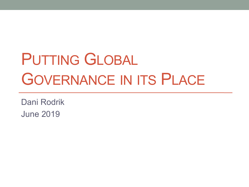# PUTTING GLOBAL GOVERNANCE IN ITS PLACE

Dani Rodrik June 2019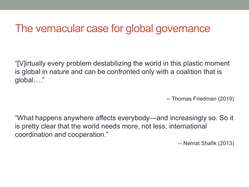#### The vernacular case for global governance

"[V]irtually every problem destabilizing the world in this plastic moment is global in nature and can be confronted only with a coalition that is global…."

-- Thomas Friedman (2019)

"What happens anywhere affects everybody—and increasingly so. So it is pretty clear that the world needs more, not less, international coordination and cooperation."

-- Nemat Shafik (2013)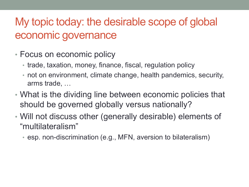### My topic today: the desirable scope of global economic governance

- Focus on economic policy
	- trade, taxation, money, finance, fiscal, regulation policy
	- not on environment, climate change, health pandemics, security, arms trade, …
- What is the dividing line between economic policies that should be governed globally versus nationally?
- Will not discuss other (generally desirable) elements of "multilateralism"
	- esp. non-discrimination (e.g., MFN, aversion to bilateralism)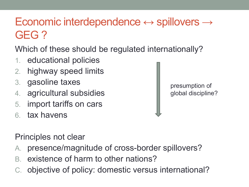## Economic interdependence  $\leftrightarrow$  spillovers  $\rightarrow$ GEG ?

Which of these should be regulated internationally?

- 1. educational policies
- 2. highway speed limits
- 3. gasoline taxes
- 4. agricultural subsidies
- 5. import tariffs on cars
- 6. tax havens

presumption of global discipline?

Principles not clear

- A. presence/magnitude of cross-border spillovers?
- B. existence of harm to other nations?
- C. objective of policy: domestic versus international?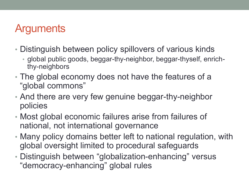### **Arguments**

- Distinguish between policy spillovers of various kinds
	- global public goods, beggar-thy-neighbor, beggar-thyself, enrichthy-neighbors
- The global economy does not have the features of a "global commons"
- And there are very few genuine beggar-thy-neighbor policies
- Most global economic failures arise from failures of national, not international governance
- Many policy domains better left to national regulation, with global oversight limited to procedural safeguards
- Distinguish between "globalization-enhancing" versus "democracy-enhancing" global rules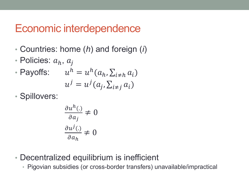#### Economic interdependence

- Countries: home (*h*) and foreign (*i*)
- Policies:  $a_h$ ,  $a_i$
- Payoffs:  $u^h = u^h(a_h, \sum_{i \neq h} a_i)$  $u^j = u^j(a_j, \sum_{i \neq j} a_i)$
- Spillovers:

$$
\frac{\partial u^h(.)}{\partial a_j} \neq 0
$$

$$
\frac{\partial u^j(.)}{\partial a_h} \neq 0
$$

- Decentralized equilibrium is inefficient
	- Pigovian subsidies (or cross-border transfers) unavailable/impractical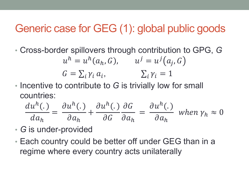#### Generic case for GEG (1): global public goods

• Cross-border spillovers through contribution to GPG, *G*

$$
uh = uh(ah, G), \t uj = uj(aj, G)
$$
  

$$
G = \sum_{i} \gamma_i a_i, \t \sum_{i} \gamma_i = 1
$$

• Incentive to contribute to *G* is trivially low for small countries:

$$
\frac{du^h(.)}{da_h} = \frac{\partial u^h(.)}{\partial a_h} + \frac{\partial u^h(.)}{\partial G} \frac{\partial G}{\partial a_h} = \frac{\partial u^h(.)}{\partial a_h} \text{ when } \gamma_h \approx 0
$$

- *G* is under-provided
- Each country could be better off under GEG than in a regime where every country acts unilaterally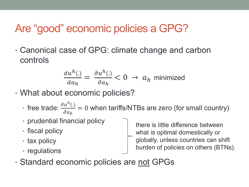### Are "good" economic policies a GPG?

• Canonical case of GPG: climate change and carbon controls

$$
\frac{du^h(.)}{da_h} = \frac{\partial u^h(.)}{\partial a_h} < 0 \to a_h \text{ minimized}
$$

- What about economic policies?
	- free trade:  $\frac{\partial u^h(.)}{\partial \alpha}$  $\partial a_h$ = 0 when tariffs/NTBs are zero (for small country)
	- prudential financial policy
	- fiscal policy
	- tax policy
	- regulations

there is little difference between what is optimal domestically or globally, unless countries can shift burden of policies on others (BTNs).

• Standard economic policies are not GPGs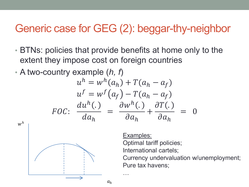### Generic case for GEG (2): beggar-thy-neighbor

- BTNs: policies that provide benefits at home only to the extent they impose cost on foreign countries
- A two-country example (*h, f*)  $u^h = w^h(a_h) + T(a_h - a_f)$  $f()$   $\pi$

$$
uv = w' (a_f) - I (a_h - a_f)
$$
  

$$
FOC: \frac{du^h(.)}{da_h} = \frac{\partial w^h(.)}{\partial a_h} + \frac{\partial T(.)}{\partial a_h} = 0
$$

…

 $a<sub>h</sub>$ 

 $w^h$ 

Examples: Optimal tariff policies; International cartels; Currency undervaluation w/unemployment; Pure tax havens;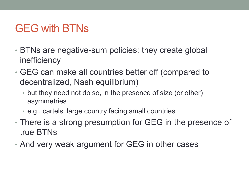### GEG with BTNs

- BTNs are negative-sum policies: they create global inefficiency
- GEG can make all countries better off (compared to decentralized, Nash equilibrium)
	- but they need not do so, in the presence of size (or other) asymmetries
	- e.g., cartels, large country facing small countries
- There is a strong presumption for GEG in the presence of true BTNs
- And very weak argument for GEG in other cases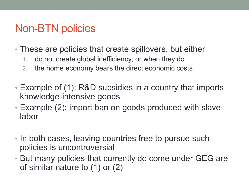### Non-BTN policies

- These are policies that create spillovers, but either
	- 1. do not create global inefficiency; or when they do
	- 2. the home economy bears the direct economic costs
- Example of (1): R&D subsidies in a country that imports knowledge-intensive goods
- Example (2): import ban on goods produced with slave labor
- In both cases, leaving countries free to pursue such policies is uncontroversial
- But many policies that currently do come under GEG are of similar nature to (1) or (2)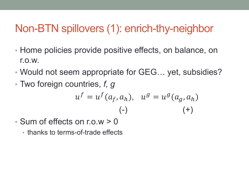### Non-BTN spillovers (1): enrich-thy-neighbor

- Home policies provide positive effects, on balance, on r.o.w.
- Would not seem appropriate for GEG… yet, subsidies?
- Two foreign countries, *f, g*

$$
u^f = u^f(a_f, a_h), \quad u^g = u^g(a_g, a_h)
$$
  
(-)

- Sum of effects on r.o.w > 0
	- thanks to terms-of-trade effects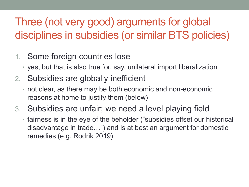# Three (not very good) arguments for global disciplines in subsidies (or similar BTS policies)

#### 1. Some foreign countries lose

- yes, but that is also true for, say, unilateral import liberalization
- 2. Subsidies are globally inefficient
	- not clear, as there may be both economic and non-economic reasons at home to justify them (below)
- 3. Subsidies are unfair; we need a level playing field
	- fairness is in the eye of the beholder ("subsidies offset our historical disadvantage in trade…") and is at best an argument for domestic remedies (e.g. Rodrik 2019)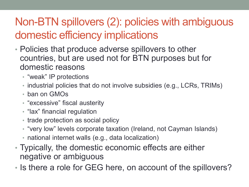# Non-BTN spillovers (2): policies with ambiguous domestic efficiency implications

- Policies that produce adverse spillovers to other countries, but are used not for BTN purposes but for domestic reasons
	- "weak" IP protections
	- industrial policies that do not involve subsidies (e.g., LCRs, TRIMs)
	- ban on GMOs
	- "excessive" fiscal austerity
	- "lax" financial regulation
	- trade protection as social policy
	- "very low" levels corporate taxation (Ireland, not Cayman Islands)
	- national internet walls (e.g., data localization)
- Typically, the domestic economic effects are either negative or ambiguous
- Is there a role for GEG here, on account of the spillovers?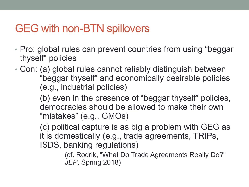### GEG with non-BTN spillovers

- Pro: global rules can prevent countries from using "beggar thyself" policies
- Con: (a) global rules cannot reliably distinguish between "beggar thyself" and economically desirable policies (e.g., industrial policies)

(b) even in the presence of "beggar thyself" policies, democracies should be allowed to make their own "mistakes" (e.g., GMOs)

(c) political capture is as big a problem with GEG as it is domestically (e.g., trade agreements, TRIPs, ISDS, banking regulations)

> (cf. Rodrik, "What Do Trade Agreements Really Do?" *JEP*, Spring 2018)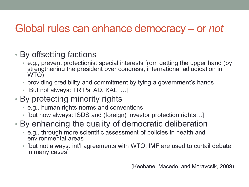### Global rules can enhance democracy – or *not*

- By offsetting factions
	- e.g., prevent protectionist special interests from getting the upper hand (by strengthening the president over congress, international adjudication in WTO)
	- providing credibility and commitment by tying a government's hands
	- [But not always: TRIPs, AD, KAL, …]
- By protecting minority rights
	- e.g., human rights norms and conventions
	- [but now always: ISDS and (foreign) investor protection rights…]
- By enhancing the quality of democratic deliberation
	- e.g., through more scientific assessment of policies in health and environmental areas
	- [but not always: int'l agreements with WTO, IMF are used to curtail debate in many cases]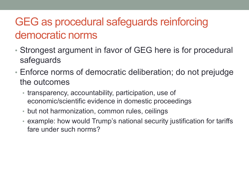### GEG as procedural safeguards reinforcing democratic norms

- Strongest argument in favor of GEG here is for procedural safeguards
- Enforce norms of democratic deliberation; do not prejudge the outcomes
	- transparency, accountability, participation, use of economic/scientific evidence in domestic proceedings
	- but not harmonization, common rules, ceilings
	- example: how would Trump's national security justification for tariffs fare under such norms?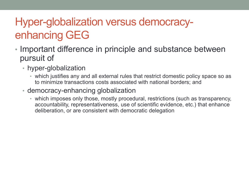# Hyper-globalization versus democracyenhancing GEG

- Important difference in principle and substance between pursuit of
	- hyper-globalization
		- which justifies any and all external rules that restrict domestic policy space so as to minimize transactions costs associated with national borders; and
	- democracy-enhancing globalization
		- which imposes only those, mostly procedural, restrictions (such as transparency, accountability, representativeness, use of scientific evidence, etc.) that enhance deliberation, or are consistent with democratic delegation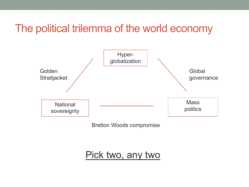### The political trilemma of the world economy



Bretton Woods compromise

#### Pick two, any two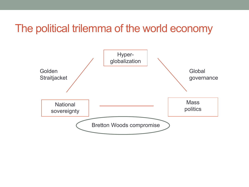#### The political trilemma of the world economy